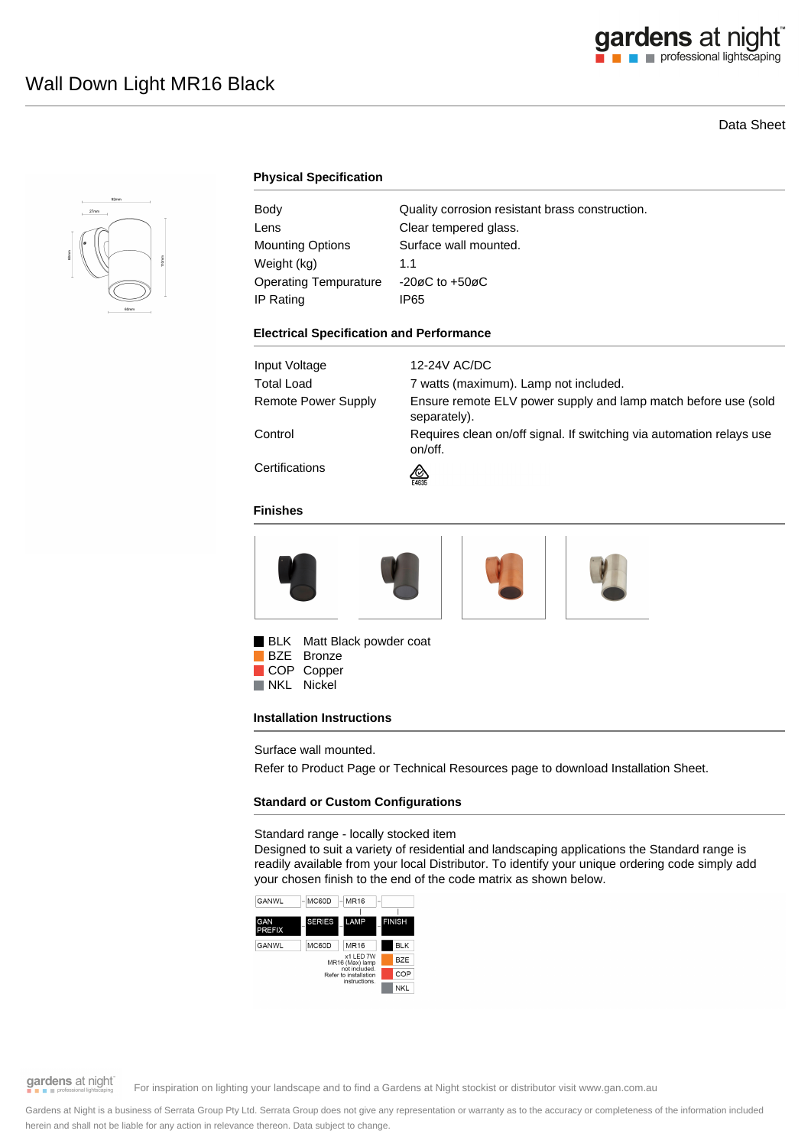# gardens at night

# Data Sheet



# **Physical Specification**

| Body                         | Quality corrosion resistant brass construction. |
|------------------------------|-------------------------------------------------|
| Lens                         | Clear tempered glass.                           |
| Mounting Options             | Surface wall mounted.                           |
| Weight (kg)                  | 1.1                                             |
| <b>Operating Tempurature</b> | $-20\varnothing$ C to $+50\varnothing$ C        |
| IP Rating                    | IP65                                            |

#### **Electrical Specification and Performance**

| Input Voltage       | 12-24V AC/DC                                                                    |
|---------------------|---------------------------------------------------------------------------------|
| Total Load          | 7 watts (maximum). Lamp not included.                                           |
| Remote Power Supply | Ensure remote ELV power supply and lamp match before use (sold<br>separately).  |
| Control             | Requires clean on/off signal. If switching via automation relays use<br>on/off. |
| Certifications      | ∞<br>E4635                                                                      |

#### **Finishes**



BLK Matt Black powder coat

BZE Bronze COP Copper<br>NKL Nickel Nickel

#### **Installation Instructions**

Surface wall mounted.

Refer to Product Page or Technical Resources page to download Installation Sheet.

#### **Standard or Custom Configurations**

Standard range - locally stocked item

Designed to suit a variety of residential and landscaping applications the Standard range is readily available from your local Distributor. To identify your unique ordering code simply add your chosen finish to the end of the code matrix as shown below.



gardens at night

For inspiration on lighting your landscape and to find a Gardens at Night stockist or distributor visit www.gan.com.au

Gardens at Night is a business of Serrata Group Pty Ltd. Serrata Group does not give any representation or warranty as to the accuracy or completeness of the information included herein and shall not be liable for any action in relevance thereon. Data subject to change.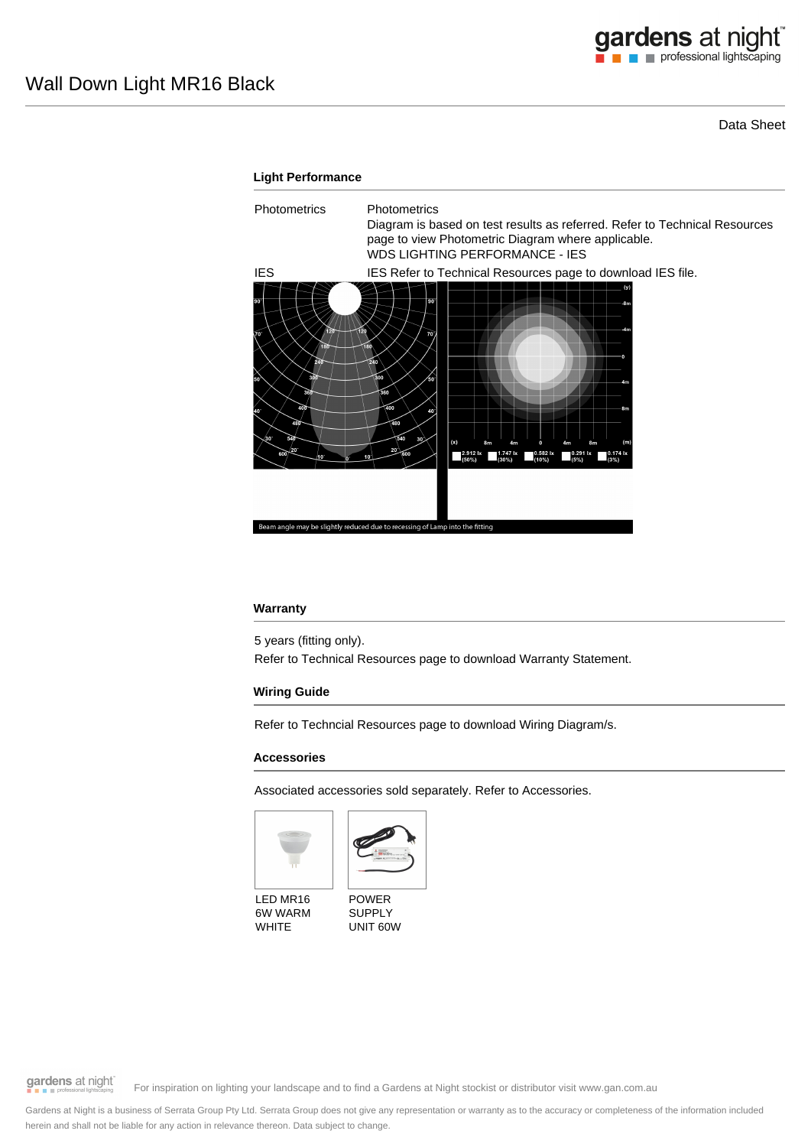## Data Sheet



#### **Warranty**

5 years (fitting only). Refer to Technical Resources page to download Warranty Statement.

## **Wiring Guide**

Refer to Techncial Resources page to download Wiring Diagram/s.

#### **Accessories**

Associated accessories sold separately. Refer to Accessories.





LED MR16 6W WARM **WHITE** 

POWER SUPPLY UNIT 60W

gardens at night

For inspiration on lighting your landscape and to find a Gardens at Night stockist or distributor visit www.gan.com.au

Gardens at Night is a business of Serrata Group Pty Ltd. Serrata Group does not give any representation or warranty as to the accuracy or completeness of the information included herein and shall not be liable for any action in relevance thereon. Data subject to change.